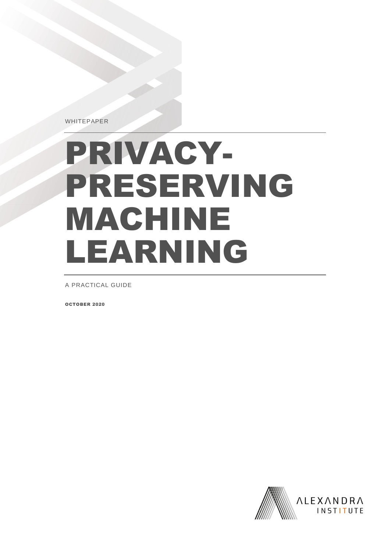WHITEPAPER

# PRIVACY-PRESERVING MACHINE LEARNING

A PRACTICAL GUIDE

OCTOBER 2020

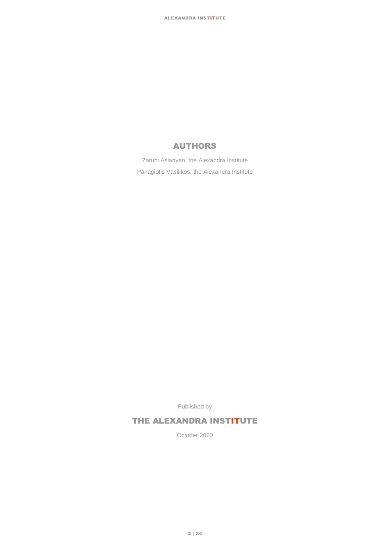### AUTHORS

Zaruhi Aslanyan, the Alexandra Institute Panagiotis Vasilikos, the Alexandra Institute

Published by

### THE ALEXANDRA INSTITUTE

October 2020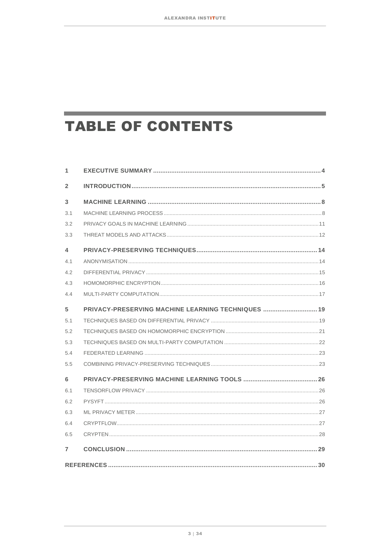and the control of the control of the

# **TABLE OF CONTENTS**

the control of the control of the control of the

| 1              |                                                    |  |  |  |  |  |  |
|----------------|----------------------------------------------------|--|--|--|--|--|--|
| $\overline{2}$ |                                                    |  |  |  |  |  |  |
| 3              |                                                    |  |  |  |  |  |  |
| 3.1            |                                                    |  |  |  |  |  |  |
| 3.2            |                                                    |  |  |  |  |  |  |
| 3.3            |                                                    |  |  |  |  |  |  |
| 4              |                                                    |  |  |  |  |  |  |
| 4.1            |                                                    |  |  |  |  |  |  |
| 4.2            |                                                    |  |  |  |  |  |  |
| 4.3            |                                                    |  |  |  |  |  |  |
| 4.4            |                                                    |  |  |  |  |  |  |
| 5              | PRIVACY-PRESERVING MACHINE LEARNING TECHNIQUES  19 |  |  |  |  |  |  |
| 5.1            |                                                    |  |  |  |  |  |  |
| 5.2            |                                                    |  |  |  |  |  |  |
| 5.3            |                                                    |  |  |  |  |  |  |
| 5.4            |                                                    |  |  |  |  |  |  |
| 5.5            |                                                    |  |  |  |  |  |  |
| 6              |                                                    |  |  |  |  |  |  |
| 6.1            |                                                    |  |  |  |  |  |  |
| 6.2            |                                                    |  |  |  |  |  |  |
| 6.3            |                                                    |  |  |  |  |  |  |
| 6.4            |                                                    |  |  |  |  |  |  |
| 6.5            |                                                    |  |  |  |  |  |  |
| $\overline{7}$ |                                                    |  |  |  |  |  |  |
|                |                                                    |  |  |  |  |  |  |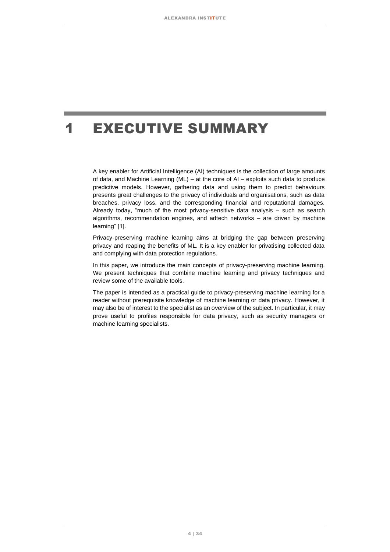## <span id="page-3-0"></span>1 EXECUTIVE SUMMARY

A key enabler for Artificial Intelligence (AI) techniques is the collection of large amounts of data, and Machine Learning (ML) – at the core of AI – exploits such data to produce predictive models. However, gathering data and using them to predict behaviours presents great challenges to the privacy of individuals and organisations, such as data breaches, privacy loss, and the corresponding financial and reputational damages. Already today, "much of the most privacy-sensitive data analysis – such as search algorithms, recommendation engines, and adtech networks – are driven by machine learning" [1].

Privacy-preserving machine learning aims at bridging the gap between preserving privacy and reaping the benefits of ML. It is a key enabler for privatising collected data and complying with data protection regulations.

In this paper, we introduce the main concepts of privacy-preserving machine learning. We present techniques that combine machine learning and privacy techniques and review some of the available tools.

The paper is intended as a practical guide to privacy-preserving machine learning for a reader without prerequisite knowledge of machine learning or data privacy. However, it may also be of interest to the specialist as an overview of the subject. In particular, it may prove useful to profiles responsible for data privacy, such as security managers or machine learning specialists.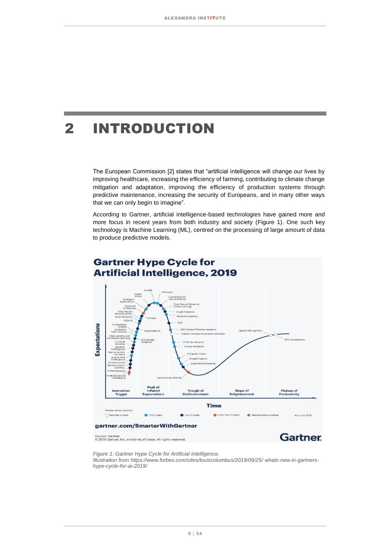# <span id="page-4-0"></span>2 INTRODUCTION

The European Commission [2] states that "artificial intelligence will change our lives by improving healthcare, increasing the efficiency of farming, contributing to climate change mitigation and adaptation, improving the efficiency of production systems through predictive maintenance, increasing the security of Europeans, and in many other ways that we can only begin to imagine".

According to Gartner, artificial intelligence-based technologies have gained more and more focus in recent years from both industry and society [\(Figure 1\)](#page-4-1). One such key technology is Machine Learning (ML), centred on the processing of large amount of data to produce predictive models.



Source: Gartner<br>© 2019 Gartner, Inc. and/or its affiliates. All rights reserved.

**Gartner** 

<span id="page-4-1"></span>*Figure 1: Gartner Hype Cycle for Artificial Intelligence.* 

*Illustration from [https://www.forbes.com/sites/louiscolumbus/2019/09/25/ whats-new-in-gartners](https://www.forbes.com/sites/louiscolumbus/2019/09/25/whats-new-in-gartners-hype-cycle-for-ai-2019/)[hype-cycle-for-ai-2019/](https://www.forbes.com/sites/louiscolumbus/2019/09/25/whats-new-in-gartners-hype-cycle-for-ai-2019/)*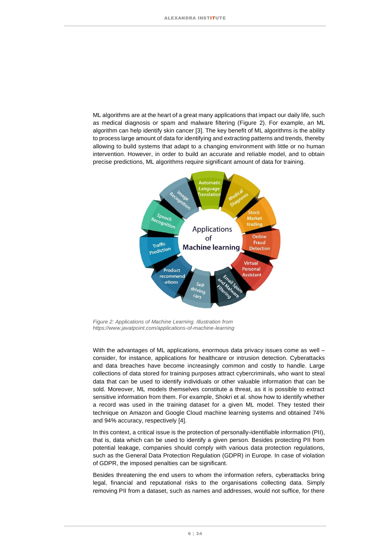ML algorithms are at the heart of a great many applications that impact our daily life, such as medical diagnosis or spam and malware filtering [\(Figure](#page-5-0) 2). For example, an ML algorithm can help identify skin cancer [3]. The key benefit of ML algorithms is the ability to process large amount of data for identifying and extracting patterns and trends, thereby allowing to build systems that adapt to a changing environment with little or no human intervention. However, in order to build an accurate and reliable model, and to obtain precise predictions, ML algorithms require significant amount of data for training.



<span id="page-5-0"></span>*Figure 2: Applications of Machine Learning. Illustration from <https://www.javatpoint.com/applications-of-machine-learning>*

With the advantages of ML applications, enormous data privacy issues come as well – consider, for instance, applications for healthcare or intrusion detection. Cyberattacks and data breaches have become increasingly common and costly to handle. Large collections of data stored for training purposes attract cybercriminals, who want to steal data that can be used to identify individuals or other valuable information that can be sold. Moreover, ML models themselves constitute a threat, as it is possible to extract sensitive information from them. For example, Shokri et al. show how to identify whether a record was used in the training dataset for a given ML model. They tested their technique on Amazon and Google Cloud machine learning systems and obtained 74% and 94% accuracy, respectively [4].

In this context, a critical issue is the protection of personally-identifiable information (PII), that is, data which can be used to identify a given person. Besides protecting PII from potential leakage, companies should comply with various data protection regulations, such as the General Data Protection Regulation (GDPR) in Europe. In case of violation of GDPR, the imposed penalties can be significant.

Besides threatening the end users to whom the information refers, cyberattacks bring legal, financial and reputational risks to the organisations collecting data. Simply removing PII from a dataset, such as names and addresses, would not suffice, for there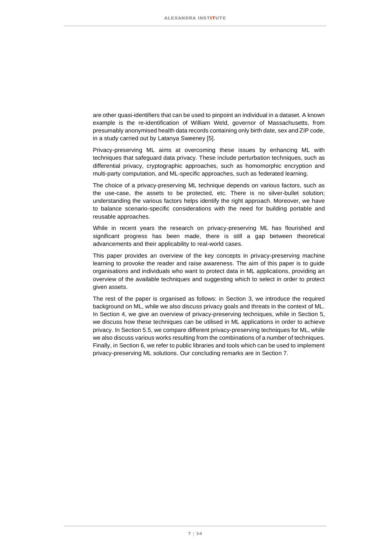are other quasi-identifiers that can be used to pinpoint an individual in a dataset. A known example is the re-identification of William Weld, governor of Massachusetts, from presumably anonymised health data records containing only birth date, sex and ZIP code, in a study carried out by Latanya Sweeney [5].

Privacy-preserving ML aims at overcoming these issues by enhancing ML with techniques that safeguard data privacy. These include perturbation techniques, such as differential privacy, cryptographic approaches, such as homomorphic encryption and multi-party computation, and ML-specific approaches, such as federated learning.

The choice of a privacy-preserving ML technique depends on various factors, such as the use-case, the assets to be protected, etc. There is no silver-bullet solution; understanding the various factors helps identify the right approach. Moreover, we have to balance scenario-specific considerations with the need for building portable and reusable approaches.

While in recent years the research on privacy-preserving ML has flourished and significant progress has been made, there is still a gap between theoretical advancements and their applicability to real-world cases.

This paper provides an overview of the key concepts in privacy-preserving machine learning to provoke the reader and raise awareness. The aim of this paper is to guide organisations and individuals who want to protect data in ML applications, providing an overview of the available techniques and suggesting which to select in order to protect given assets.

The rest of the paper is organised as follows: in Section [3,](#page-7-0) we introduce the required background on ML, while we also discuss privacy goals and threats in the context of ML. In Section [4,](#page-13-0) we give an overview of privacy-preserving techniques, while in Section [5,](#page-18-0) we discuss how these techniques can be utilised in ML applications in order to achieve privacy. In Section [5.5,](#page-22-1) we compare different privacy-preserving techniques for ML, while we also discuss various works resulting from the combinations of a number of techniques. Finally, in Sectio[n 6,](#page-25-0) we refer to public libraries and tools which can be used to implement privacy-preserving ML solutions. Our concluding remarks are in Section [7.](#page-28-0)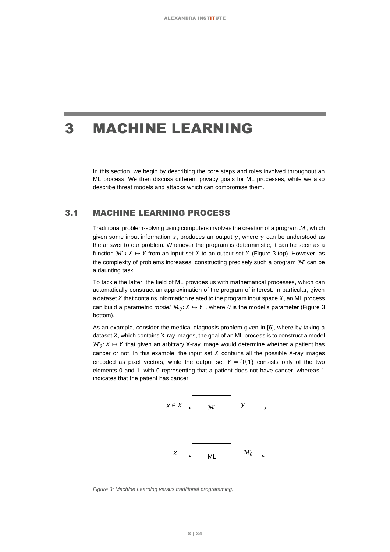### <span id="page-7-0"></span>3 MACHINE LEARNING

In this section, we begin by describing the core steps and roles involved throughout an ML process. We then discuss different privacy goals for ML processes, while we also describe threat models and attacks which can compromise them.

### <span id="page-7-1"></span>3.1 MACHINE LEARNING PROCESS

Traditional problem-solving using computers involves the creation of a program  $\mathcal M$ , which given some input information  $x$ , produces an output  $y$ , where  $y$  can be understood as the answer to our problem. Whenever the program is deterministic, it can be seen as a function  $\mathcal{M} : X \mapsto Y$  from an input set X to an output set Y [\(Figure 3](#page-7-2) top). However, as the complexity of problems increases, constructing precisely such a program  $\mathcal M$  can be a daunting task.

To tackle the latter, the field of ML provides us with mathematical processes, which can automatically construct an approximation of the program of interest. In particular, given a dataset  $Z$  that contains information related to the program input space  $X$ , an ML process can build a parametric *model*  $\mathcal{M}_{\theta}$ :  $X \mapsto Y$ , where  $\theta$  is the model's parameter [\(Figure 3](#page-7-2)) bottom).

As an example, consider the medical diagnosis problem given in [6], where by taking a dataset  $Z$ , which contains  $X$ -ray images, the goal of an ML process is to construct a model  $\mathcal{M}_{\theta}: X \mapsto Y$  that given an arbitrary X-ray image would determine whether a patient has cancer or not. In this example, the input set  $X$  contains all the possible X-ray images encoded as pixel vectors, while the output set  $Y = \{0,1\}$  consists only of the two elements 0 and 1, with 0 representing that a patient does not have cancer, whereas 1 indicates that the patient has cancer.



<span id="page-7-2"></span>*Figure 3: Machine Learning versus traditional programming.*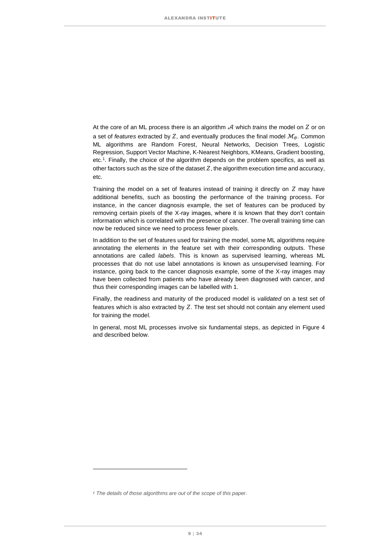At the core of an ML process there is an algorithm  $\mathcal A$  which *trains* the model on  $Z$  or on a set of *features* extracted by  $Z$ , and eventually produces the final model  $\mathcal{M}_{\theta}$ . Common ML algorithms are Random Forest, Neural Networks, Decision Trees, Logistic Regression, Support Vector Machine, K-Nearest Neighbors, KMeans, Gradient boosting, etc.<sup>1</sup> . Finally, the choice of the algorithm depends on the problem specifics, as well as other factors such as the size of the dataset  $Z$ , the algorithm execution time and accuracy, etc.

Training the model on a set of features instead of training it directly on  $Z$  may have additional benefits, such as boosting the performance of the training process. For instance, in the cancer diagnosis example, the set of features can be produced by removing certain pixels of the X-ray images, where it is known that they don't contain information which is correlated with the presence of cancer. The overall training time can now be reduced since we need to process fewer pixels.

In addition to the set of features used for training the model, some ML algorithms require annotating the elements in the feature set with their corresponding outputs. These annotations are called *labels*. This is known as supervised learning, whereas ML processes that do not use label annotations is known as unsupervised learning. For instance, going back to the cancer diagnosis example, some of the X-ray images may have been collected from patients who have already been diagnosed with cancer, and thus their corresponding images can be labelled with 1.

Finally, the readiness and maturity of the produced model is *validated* on a test set of features which is also extracted by  $Z$ . The test set should not contain any element used for training the model.

In general, most ML processes involve six fundamental steps, as depicted in [Figure 4](#page-9-0) and described below.

*<sup>1</sup> The details of those algorithms are out of the scope of this paper.*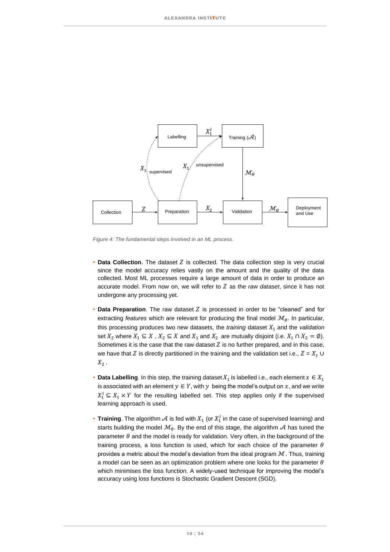

<span id="page-9-0"></span>*Figure 4: The fundamental steps involved in an ML process.*

- **Data Collection**. The dataset *Z* is collected. The data collection step is very crucial since the model accuracy relies vastly on the amount and the quality of the data collected. Most ML processes require a large amount of data in order to produce an accurate model. From now on, we will refer to  $Z$  as the *raw dataset*, since it has not undergone any processing yet.
- **Data Preparation**. The raw dataset Z is processed in order to be "cleaned" and for extracting *features* which are relevant for producing the final model  $\mathcal{M}_{\theta}$ . In particular, this processing produces two new datasets, the *training* dataset  $X_1$  and the *validation* set  $X_2$  where  $X_1 \subseteq X$ ,  $X_2 \subseteq X$  and  $X_1$  and  $X_2$  are mutually disjoint (i.e.  $X_1 \cap X_2 = \emptyset$ ). Sometimes it is the case that the raw dataset  $Z$  is no further prepared, and in this case, we have that Z is directly partitioned in the training and the validation set i.e.,  $Z = X_1 \cup$  $X<sub>2</sub>$ .
- **Data Labelling**. In this step, the training dataset  $X_1$  is labelled i.e., each element  $x \in X_1$ is associated with an element  $y \in Y$ , with  $y$  being the model's output on  $x$ , and we write  $X_1^l \subseteq X_1 \times Y$  for the resulting labelled set. This step applies only if the supervised learning approach is used.
- Training. The algorithm  $\mathcal A$  is fed with  $X_1$  (or  $X_1^l$  in the case of supervised learning) and starts building the model  $\mathcal{M}_{\theta}$ . By the end of this stage, the algorithm  $\mathcal A$  has tuned the parameter  $\theta$  and the model is ready for validation. Very often, in the background of the training process, a loss function is used, which for each choice of the parameter  $\theta$ provides a metric about the model's deviation from the ideal program  $M$ . Thus, training a model can be seen as an optimization problem where one looks for the parameter  $\theta$ which minimises the loss function. A widely-used technique for improving the model's accuracy using loss functions is Stochastic Gradient Descent (SGD).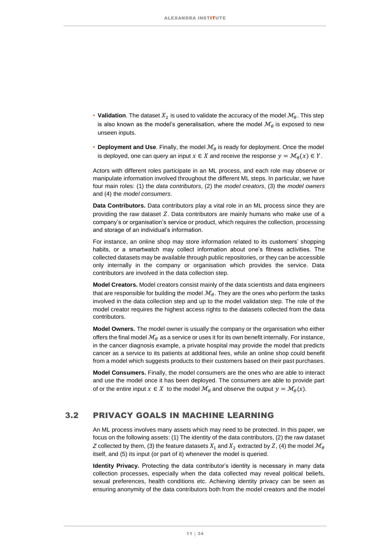- **Validation**. The dataset  $X_2$  is used to validate the accuracy of the model  $\mathcal{M}_{\theta}$ . This step is also known as the model's generalisation, where the model  $\mathcal{M}_{\theta}$  is exposed to new unseen inputs.
- **Deployment and Use**. Finally, the model  $\mathcal{M}_{\theta}$  is ready for deployment. Once the model is deployed, one can query an input  $x \in X$  and receive the response  $y = \mathcal{M}_{\theta}(x) \in Y.$

Actors with different roles participate in an ML process, and each role may observe or manipulate information involved throughout the different ML steps. In particular, we have four main roles: (1) the *data contributors*, (2) the *model creators*, (3) the *model owners*  and (4) the *model consumers*.

**Data Contributors.** Data contributors play a vital role in an ML process since they are providing the raw dataset  $Z$ . Data contributors are mainly humans who make use of a company's or organisation's service or product, which requires the collection, processing and storage of an individual's information.

For instance, an online shop may store information related to its customers' shopping habits, or a smartwatch may collect information about one's fitness activities. The collected datasets may be available through public repositories, or they can be accessible only internally in the company or organisation which provides the service. Data contributors are involved in the data collection step.

**Model Creators.** Model creators consist mainly of the data scientists and data engineers that are responsible for building the model  $\mathcal{M}_{\theta}$ . They are the ones who perform the tasks involved in the data collection step and up to the model validation step. The role of the model creator requires the highest access rights to the datasets collected from the data contributors.

**Model Owners.** The model owner is usually the company or the organisation who either offers the final model  $\mathcal{M}_{\theta}$  as a service or uses it for its own benefit internally. For instance, in the cancer diagnosis example, a private hospital may provide the model that predicts cancer as a service to its patients at additional fees, while an online shop could benefit from a model which suggests products to their customers based on their past purchases.

**Model Consumers.** Finally, the model consumers are the ones who are able to interact and use the model once it has been deployed. The consumers are able to provide part of or the entire input  $x \in X$  to the model  $\mathcal{M}_{\theta}$  and observe the output  $y = \mathcal{M}_{\theta}(x)$ .

### <span id="page-10-0"></span>3.2 PRIVACY GOALS IN MACHINE LEARNING

An ML process involves many assets which may need to be protected. In this paper, we focus on the following assets: (1) The identity of the data contributors, (2) the raw dataset *Z* collected by them, (3) the feature datasets  $X_1$  and  $X_2$  extracted by Z, (4) the model  $\mathcal{M}_{\theta}$ itself, and (5) its input (or part of it) whenever the model is queried.

**Identity Privacy.** Protecting the data contributor's identity is necessary in many data collection processes, especially when the data collected may reveal political beliefs, sexual preferences, health conditions etc. Achieving identity privacy can be seen as ensuring anonymity of the data contributors both from the model creators and the model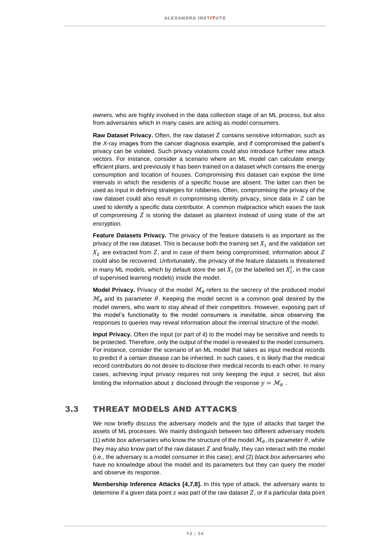owners, who are highly involved in the data collection stage of an ML process, but also from adversaries which in many cases are acting as model consumers.

**Raw Dataset Privacy.** Often, the raw dataset *Z* contains sensitive information, such as the *X*-ray images from the cancer diagnosis example, and if compromised the patient's privacy can be violated. Such privacy violations could also introduce further new attack vectors. For instance, consider a scenario where an ML model can calculate energy efficient plans, and previously it has been trained on a dataset which contains the energy consumption and location of houses. Compromising this dataset can expose the time intervals in which the residents of a specific house are absent. The latter can then be used as input in defining strategies for robberies. Often, compromising the privacy of the raw dataset could also result in compromising identity privacy, since data in  $Z$  can be used to identify a specific data contributor. A common malpractice which eases the task of compromising  $Z$  is storing the dataset as plaintext instead of using state of the art encryption.

**Feature Datasets Privacy.** The privacy of the feature datasets is as important as the privacy of the raw dataset. This is because both the training set  $X_1$  and the validation set  $X_2$  are extracted from Z, and in case of them being compromised, information about Z could also be recovered. Unfortunately, the privacy of the feature datasets is threatened in many ML models, which by default store the set  $X_1$  (or the labelled set  $X_1^l$ , in the case of supervised learning models) inside the model.

**Model Privacy.** Privacy of the model  $\mathcal{M}_{\theta}$  refers to the secrecy of the produced model  $\mathcal{M}_{\theta}$  and its parameter  $\theta$ . Keeping the model secret is a common goal desired by the model owners, who want to stay ahead of their competitors. However, exposing part of the model's functionality to the model consumers is inevitable, since observing the responses to queries may reveal information about the internal structure of the model.

**Input Privacy.** Often the input (or part of it) to the model may be sensitive and needs to be protected. Therefore, only the output of the model is revealed to the model consumers. For instance, consider the scenario of an ML model that takes as input medical records to predict if a certain disease can be inherited. In such cases, it is likely that the medical record contributors do not desire to disclose their medical records to each other. In many cases, achieving input privacy requires not only keeping the input  $x$  secret, but also limiting the information about x disclosed through the response  $y = M_\theta$ .

#### <span id="page-11-0"></span>3.3 THREAT MODELS AND ATTACKS

We now briefly discuss the adversary models and the type of attacks that target the assets of ML processes. We mainly distinguish between two different adversary models (1) *white box adversaries* who know the structure of the model  $\mathcal{M}_{\theta}$ , its parameter  $\theta$ , while they may also know part of the raw dataset  $Z$  and finally, they can interact with the model (i.e., the adversary is a model consumer in this case); and (2) *black box adversaries* who have no knowledge about the model and its parameters but they can query the model and observe its response.

**Membership Inference Attacks [4,7,8].** In this type of attack, the adversary wants to determine if a given data point  $z$  was part of the raw dataset  $Z$ , or if a particular data point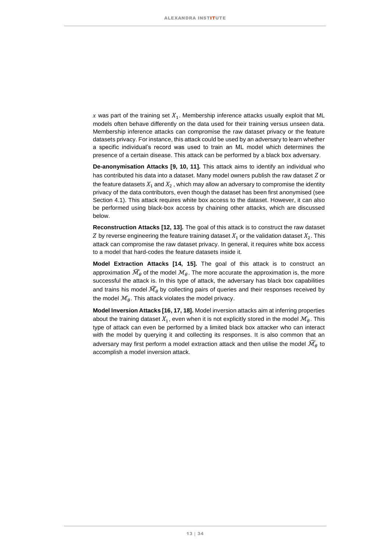x was part of the training set  $X_1$ . Membership inference attacks usually exploit that ML models often behave differently on the data used for their training versus unseen data. Membership inference attacks can compromise the raw dataset privacy or the feature datasets privacy. For instance, this attack could be used by an adversary to learn whether a specific individual's record was used to train an ML model which determines the presence of a certain disease. This attack can be performed by a black box adversary.

**De-anonymisation Attacks [9, 10, 11].** This attack aims to identify an individual who has contributed his data into a dataset. Many model owners publish the raw dataset  $Z$  or the feature datasets  $X_1$  and  $X_2$ , which may allow an adversary to compromise the identity privacy of the data contributors, even though the dataset has been first anonymised (see Section [4.1\)](#page-13-1). This attack requires white box access to the dataset. However, it can also be performed using black-box access by chaining other attacks, which are discussed below.

**Reconstruction Attacks [12, 13].** The goal of this attack is to construct the raw dataset Z by reverse engineering the feature training dataset  $X_1$  or the validation dataset  $X_2$ . This attack can compromise the raw dataset privacy. In general, it requires white box access to a model that hard-codes the feature datasets inside it.

**Model Extraction Attacks [14, 15].** The goal of this attack is to construct an approximation  $\widehat{\mathcal{M}}_{\theta}$  of the model  $\mathcal{M}_{\theta}$ . The more accurate the approximation is, the more successful the attack is. In this type of attack, the adversary has black box capabilities and trains his model  $\widehat{\mathcal{M}}_{\theta}$  by collecting pairs of queries and their responses received by the model  $\mathcal{M}_a$ . This attack violates the model privacy.

**Model Inversion Attacks [16, 17, 18].** Model inversion attacks aim at inferring properties about the training dataset  $X_1$ , even when it is not explicitly stored in the model  $\mathcal{M}_{\theta}$ . This type of attack can even be performed by a limited black box attacker who can interact with the model by querying it and collecting its responses. It is also common that an adversary may first perform a model extraction attack and then utilise the model  $\widehat{\mathcal{M}}_{\theta}$  to accomplish a model inversion attack.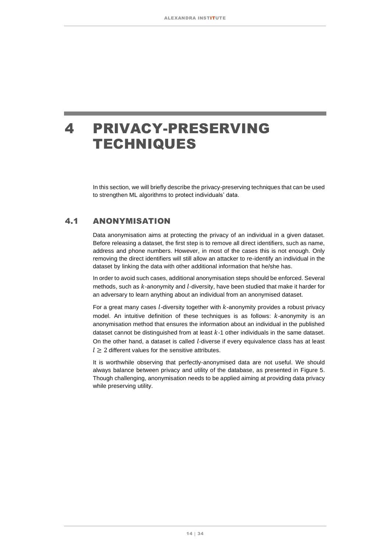### <span id="page-13-0"></span>4 PRIVACY-PRESERVING **TECHNIQUES**

In this section, we will briefly describe the privacy-preserving techniques that can be used to strengthen ML algorithms to protect individuals' data.

### <span id="page-13-1"></span>4.1 ANONYMISATION

Data anonymisation aims at protecting the privacy of an individual in a given dataset. Before releasing a dataset, the first step is to remove all direct identifiers, such as name, address and phone numbers. However, in most of the cases this is not enough. Only removing the direct identifiers will still allow an attacker to re-identify an individual in the dataset by linking the data with other additional information that he/she has.

In order to avoid such cases, additional anonymisation steps should be enforced. Several methods, such as  $k$ -anonymity and  $l$ -diversity, have been studied that make it harder for an adversary to learn anything about an individual from an anonymised dataset.

For a great many cases  $l$ -diversity together with  $k$ -anonymity provides a robust privacy model. An intuitive definition of these techniques is as follows:  $k$ -anonymity is an anonymisation method that ensures the information about an individual in the published dataset cannot be distinguished from at least  $k-1$  other individuals in the same dataset. On the other hand, a dataset is called *l*-diverse if every equivalence class has at least  $l \geq 2$  different values for the sensitive attributes.

It is worthwhile observing that perfectly-anonymised data are not useful. We should always balance between privacy and utility of the database, as presented in [Figure 5.](#page-19-0) Though challenging, anonymisation needs to be applied aiming at providing data privacy while preserving utility.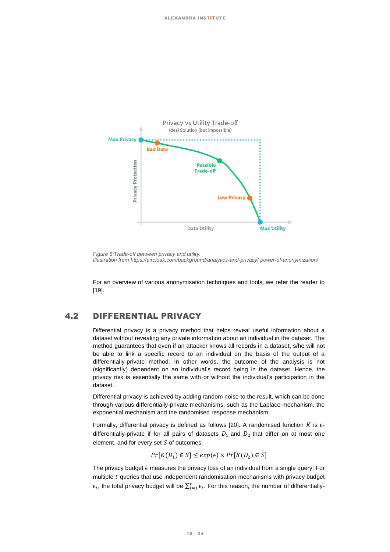

*Figure 5:Trade-off between privacy and utility. Illustration from [https://aircloak.com/background/analytics-and-privacy/ power-of-anonymization/](https://aircloak.com/background/analytics-and-privacy/power-of-anonymization/)*

For an overview of various anonymisation techniques and tools, we refer the reader to [19].

### <span id="page-14-0"></span>4.2 DIFFERENTIAL PRIVACY

Differential privacy is a privacy method that helps reveal useful information about a dataset without revealing any private information about an individual in the dataset. The method guarantees that even if an attacker knows all records in a dataset, s/he will not be able to link a specific record to an individual on the basis of the output of a differentially-private method. In other words, the outcome of the analysis is not (significantly) dependent on an individual's record being in the dataset. Hence, the privacy risk is essentially the same with or without the individual's participation in the dataset.

Differential privacy is achieved by adding random noise to the result, which can be done through various differentially-private mechanisms, such as the Laplace mechanism, the exponential mechanism and the randomised response mechanism.

Formally, differential privacy is defined as follows [20]. A randomised function  $K$  is  $\epsilon$ differentially-private if for all pairs of datasets  $D_1$  and  $D_2$  that differ on at most one element, and for every set  $S$  of outcomes,

 $Pr[K(D_1) \in S] \leq exp(\epsilon) \times Pr[K(D_2) \in S]$ 

The privacy budget  $\epsilon$  measures the privacy loss of an individual from a single query. For multiple  $t$  queries that use independent randomisation mechanisms with privacy budget  $\epsilon_i$ , the total privacy budget will be  $\sum_{i=1}^t \epsilon_i$ . For this reason, the number of differentially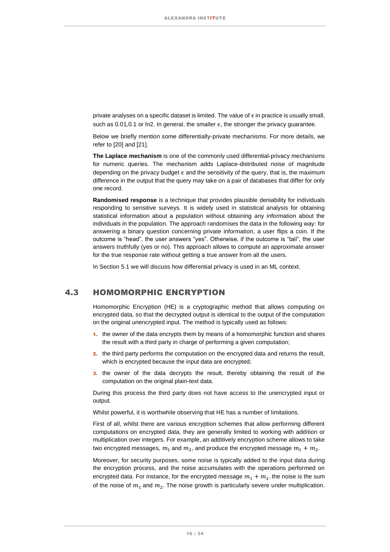private analyses on a specific dataset is limited. The value of  $\epsilon$  in practice is usually small, such as  $0.01, 0.1$  or ln2. In general, the smaller  $\epsilon$ , the stronger the privacy guarantee.

Below we briefly mention some differentially-private mechanisms. For more details, we refer to [20] and [21].

**The Laplace mechanism** is one of the commonly used differential-privacy mechanisms for numeric queries. The mechanism adds Laplace-distributed noise of magnitude depending on the privacy budget  $\epsilon$  and the sensitivity of the query, that is, the maximum difference in the output that the query may take on a pair of databases that differ for only one record.

**Randomised response** is a technique that provides plausible deniability for individuals responding to sensitive surveys. It is widely used in statistical analysis for obtaining statistical information about a population without obtaining any information about the individuals in the population. The approach randomises the data in the following way: for answering a binary question concerning private information, a user flips a coin. If the outcome is "head", the user answers "yes". Otherwise, if the outcome is "tail", the user answers truthfully (yes or no). This approach allows to compute an approximate answer for the true response rate without getting a true answer from all the users.

In Section [5.1](#page-18-1) we will discuss how differential privacy is used in an ML context.

#### <span id="page-15-0"></span>4.3 HOMOMORPHIC ENCRYPTION

Homomorphic Encryption (HE) is a cryptographic method that allows computing on encrypted data, so that the decrypted output is identical to the output of the computation on the original unencrypted input. The method is typically used as follows:

- 1. the owner of the data encrypts them by means of a homomorphic function and shares the result with a third party in charge of performing a given computation;
- 2. the third party performs the computation on the encrypted data and returns the result, which is encrypted because the input data are encrypted;
- 3. the owner of the data decrypts the result, thereby obtaining the result of the computation on the original plain-text data.

During this process the third party does not have access to the unencrypted input or output.

Whilst powerful, it is worthwhile observing that HE has a number of limitations.

First of all, whilst there are various encryption schemes that allow performing different computations on encrypted data, they are generally limited to working with addition or multiplication over integers. For example, an additively encryption scheme allows to take two encrypted messages,  $m_1$  and  $m_2$ , and produce the encrypted message  $m_1 + m_2$ .

Moreover, for security purposes, some noise is typically added to the input data during the encryption process, and the noise accumulates with the operations performed on encrypted data. For instance, for the encrypted message  $m_1 + m_2$  the noise is the sum of the noise of  $m_1$  and  $m_2$ . The noise growth is particularly severe under multiplication.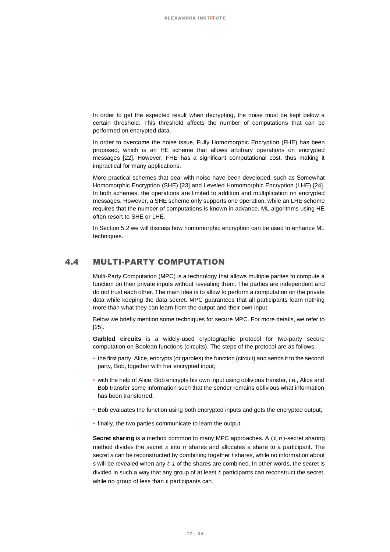In order to get the expected result when decrypting, the noise must be kept below a certain threshold. This threshold affects the number of computations that can be performed on encrypted data.

In order to overcome the noise issue, Fully Homomorphic Encryption (FHE) has been proposed, which is an HE scheme that allows arbitrary operations on encrypted messages [22]. However, FHE has a significant computational cost, thus making it impractical for many applications.

More practical schemes that deal with noise have been developed, such as Somewhat Homomorphic Encryption (SHE) [23] and Leveled Homomorphic Encryption (LHE) [24]. In both schemes, the operations are limited to addition and multiplication on encrypted messages. However, a SHE scheme only supports one operation, while an LHE scheme requires that the number of computations is known in advance. ML algorithms using HE often resort to SHE or LHE.

In Section [5.2](#page-20-0) we will discuss how homomorphic encryption can be used to enhance ML techniques.

### <span id="page-16-0"></span>4.4 MULTI-PARTY COMPUTATION

Multi-Party Computation (MPC) is a technology that allows multiple parties to compute a function on their private inputs without revealing them. The parties are independent and do not trust each other. The main idea is to allow to perform a computation on the private data while keeping the data secret. MPC guarantees that all participants learn nothing more than what they can learn from the output and their own input.

Below we briefly mention some techniques for secure MPC. For more details, we refer to [25].

**Garbled circuits** is a widely-used cryptographic protocol for two-party secure computation on Boolean functions (circuits). The steps of the protocol are as follows:

- the first party, Alice, encrypts (or garbles) the function (circuit) and sends it to the second party, Bob, together with her encrypted input;
- with the help of Alice, Bob encrypts his own input using oblivious transfer, i.e., Alice and Bob transfer some information such that the sender remains oblivious what information has been transferred;
- Bob evaluates the function using both encrypted inputs and gets the encrypted output;
- finally, the two parties communicate to learn the output.

**Secret sharing** is a method common to many MPC approaches. A  $(t, n)$ -secret sharing method divides the secret  $s$  into  $n$  shares and allocates a share to a participant. The secret *s* can be reconstructed by combining together *t* shares, while no information about *s* will be revealed when any *-1* of the shares are combined. In other words, the secret is divided in such a way that any group of at least  $t$  participants can reconstruct the secret, while no group of less than  $t$  participants can.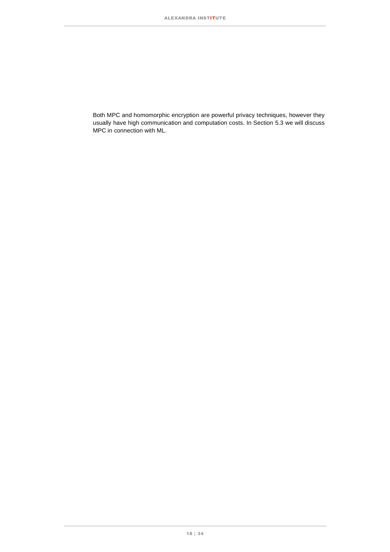Both MPC and homomorphic encryption are powerful privacy techniques, however they usually have high communication and computation costs. In Section [5.3](#page-21-0) we will discuss MPC in connection with ML.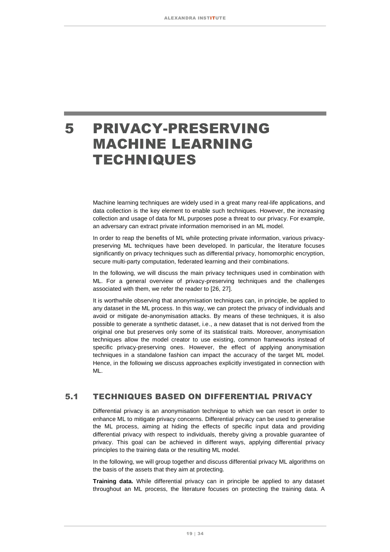### <span id="page-18-0"></span>5 PRIVACY-PRESERVING MACHINE LEARNING TECHNIQUES

Machine learning techniques are widely used in a great many real-life applications, and data collection is the key element to enable such techniques. However, the increasing collection and usage of data for ML purposes pose a threat to our privacy. For example, an adversary can extract private information memorised in an ML model.

In order to reap the benefits of ML while protecting private information, various privacypreserving ML techniques have been developed. In particular, the literature focuses significantly on privacy techniques such as differential privacy, homomorphic encryption, secure multi-party computation, federated learning and their combinations.

In the following, we will discuss the main privacy techniques used in combination with ML. For a general overview of privacy-preserving techniques and the challenges associated with them, we refer the reader to [26, 27].

It is worthwhile observing that anonymisation techniques can, in principle, be applied to any dataset in the ML process. In this way, we can protect the privacy of individuals and avoid or mitigate de-anonymisation attacks. By means of these techniques, it is also possible to generate a synthetic dataset, i.e., a new dataset that is not derived from the original one but preserves only some of its statistical traits. Moreover, anonymisation techniques allow the model creator to use existing, common frameworks instead of specific privacy-preserving ones. However, the effect of applying anonymisation techniques in a standalone fashion can impact the accuracy of the target ML model. Hence, in the following we discuss approaches explicitly investigated in connection with ML.

### <span id="page-18-1"></span>5.1 TECHNIQUES BASED ON DIFFERENTIAL PRIVACY

Differential privacy is an anonymisation technique to which we can resort in order to enhance ML to mitigate privacy concerns. Differential privacy can be used to generalise the ML process, aiming at hiding the effects of specific input data and providing differential privacy with respect to individuals, thereby giving a provable guarantee of privacy. This goal can be achieved in different ways, applying differential privacy principles to the training data or the resulting ML model.

In the following, we will group together and discuss differential privacy ML algorithms on the basis of the assets that they aim at protecting.

**Training data.** While differential privacy can in principle be applied to any dataset throughout an ML process, the literature focuses on protecting the training data. A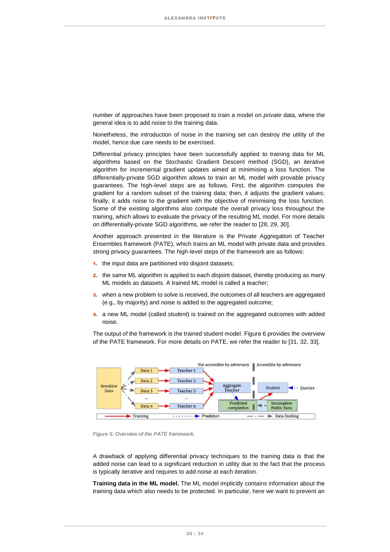number of approaches have been proposed to train a model on *private* data, where the general idea is to add noise to the training data.

Nonetheless, the introduction of noise in the training set can destroy the utility of the model, hence due care needs to be exercised.

Differential privacy principles have been successfully applied to training data for ML algorithms based on the Stochastic Gradient Descent method (SGD), an iterative algorithm for incremental gradient updates aimed at minimising a loss function. The differentially-private SGD algorithm allows to train an ML model with provable privacy guarantees. The high-level steps are as follows. First, the algorithm computes the gradient for a random subset of the training data; then, it adjusts the gradient values; finally, it adds noise to the gradient with the objective of minimising the loss function. Some of the existing algorithms also compute the overall privacy loss throughout the training, which allows to evaluate the privacy of the resulting ML model. For more details on differentially-private SGD algorithms, we refer the reader to [28, 29, 30].

Another approach presented in the literature is the Private Aggregation of Teacher Ensembles framework (PATE), which trains an ML model with private data and provides strong privacy guarantees. The high-level steps of the framework are as follows:

- 1. the input data are partitioned into disjoint datasets:
- 2. the same ML algorithm is applied to each disjoint dataset, thereby producing as many ML models as datasets. A trained ML model is called a *teacher*;
- **3.** when a new problem to solve is received, the outcomes of all teachers are aggregated (e.g., by majority) and noise is added to the aggregated outcome;
- 4. a new ML model (called *student*) is trained on the aggregated outcomes with added noise.

The output of the framework is the trained student model[. Figure 6](#page-26-2) provides the overview of the PATE framework. For more details on PATE, we refer the reader to [31, 32, 33].



<span id="page-19-0"></span>*Figure 5: Overview of the PATE framework.*

A drawback of applying differential privacy techniques to the training data is that the added noise can lead to a significant reduction in utility due to the fact that the process is typically iterative and requires to add noise at each iteration.

**Training data in the ML model.** The ML model implicitly contains information about the training data which also needs to be protected. In particular, here we want to prevent an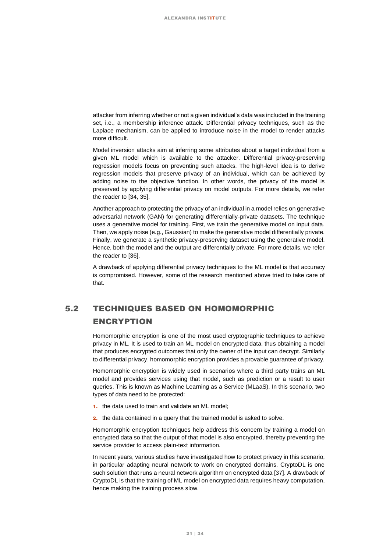attacker from inferring whether or not a given individual's data was included in the training set, i.e., a membership inference attack. Differential privacy techniques, such as the Laplace mechanism, can be applied to introduce noise in the model to render attacks more difficult.

Model inversion attacks aim at inferring some attributes about a target individual from a given ML model which is available to the attacker. Differential privacy-preserving regression models focus on preventing such attacks. The high-level idea is to derive regression models that preserve privacy of an individual, which can be achieved by adding noise to the objective function. In other words, the privacy of the model is preserved by applying differential privacy on model outputs. For more details, we refer the reader to [34, 35].

Another approach to protecting the privacy of an individual in a model relies on generative adversarial network (GAN) for generating differentially-private datasets. The technique uses a generative model for training. First, we train the generative model on input data. Then, we apply noise (e.g., Gaussian) to make the generative model differentially private. Finally, we generate a synthetic privacy-preserving dataset using the generative model. Hence, both the model and the output are differentially private. For more details, we refer the reader to [36].

A drawback of applying differential privacy techniques to the ML model is that accuracy is compromised. However, some of the research mentioned above tried to take care of that.

### <span id="page-20-0"></span>5.2 TECHNIQUES BASED ON HOMOMORPHIC ENCRYPTION

Homomorphic encryption is one of the most used cryptographic techniques to achieve privacy in ML. It is used to train an ML model on encrypted data, thus obtaining a model that produces encrypted outcomes that only the owner of the input can decrypt. Similarly to differential privacy, homomorphic encryption provides a provable guarantee of privacy.

Homomorphic encryption is widely used in scenarios where a third party trains an ML model and provides services using that model, such as prediction or a result to user queries. This is known as Machine Learning as a Service (MLaaS). In this scenario, two types of data need to be protected:

- 1. the data used to train and validate an ML model;
- 2. the data contained in a query that the trained model is asked to solve.

Homomorphic encryption techniques help address this concern by training a model on encrypted data so that the output of that model is also encrypted, thereby preventing the service provider to access plain-text information.

In recent years, various studies have investigated how to protect privacy in this scenario, in particular adapting neural network to work on encrypted domains. CryptoDL is one such solution that runs a neural network algorithm on encrypted data [37]. A drawback of CryptoDL is that the training of ML model on encrypted data requires heavy computation, hence making the training process slow.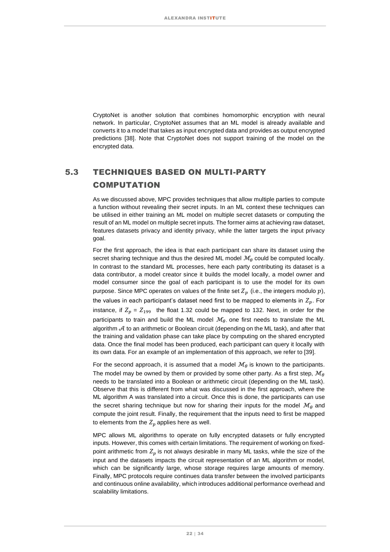CryptoNet is another solution that combines homomorphic encryption with neural network. In particular, CryptoNet assumes that an ML model is already available and converts it to a model that takes as input encrypted data and provides as output encrypted predictions [38]. Note that CryptoNet does not support training of the model on the encrypted data.

### <span id="page-21-0"></span>5.3 TECHNIQUES BASED ON MULTI-PARTY **COMPUTATION**

As we discussed above, MPC provides techniques that allow multiple parties to compute a function without revealing their secret inputs. In an ML context these techniques can be utilised in either training an ML model on multiple secret datasets or computing the result of an ML model on multiple secret inputs. The former aims at achieving raw dataset, features datasets privacy and identity privacy, while the latter targets the input privacy goal.

For the first approach, the idea is that each participant can share its dataset using the secret sharing technique and thus the desired ML model  $\mathcal{M}_{\theta}$  could be computed locally. In contrast to the standard ML processes, here each party contributing its dataset is a data contributor, a model creator since it builds the model locally, a model owner and model consumer since the goal of each participant is to use the model for its own purpose. Since MPC operates on values of the finite set  $Z_p$  (i.e., the integers modulo  $p$ ), the values in each participant's dataset need first to be mapped to elements in  $Z_p$ . For instance, if  $Z_p = Z_{199}$  the float 1.32 could be mapped to 132. Next, in order for the participants to train and build the ML model  $\mathcal{M}_{\theta}$  one first needs to translate the ML algorithm  $A$  to an arithmetic or Boolean circuit (depending on the ML task), and after that the training and validation phase can take place by computing on the shared encrypted data. Once the final model has been produced, each participant can query it locally with its own data. For an example of an implementation of this approach, we refer to [39].

For the second approach, it is assumed that a model  $\mathcal{M}_{\theta}$  is known to the participants. The model may be owned by them or provided by some other party. As a first step,  $\mathcal{M}_{\theta}$ needs to be translated into a Boolean or arithmetic circuit (depending on the ML task). Observe that this is different from what was discussed in the first approach, where the ML algorithm A was translated into a circuit. Once this is done, the participants can use the secret sharing technique but now for sharing their inputs for the model  $\mathcal{M}_{\theta}$  and compute the joint result. Finally, the requirement that the inputs need to first be mapped to elements from the  $Z_p$  applies here as well.

MPC allows ML algorithms to operate on fully encrypted datasets or fully encrypted inputs. However, this comes with certain limitations. The requirement of working on fixedpoint arithmetic from  $Z_p$  is not always desirable in many ML tasks, while the size of the input and the datasets impacts the circuit representation of an ML algorithm or model, which can be significantly large, whose storage requires large amounts of memory. Finally, MPC protocols require continues data transfer between the involved participants and continuous online availability, which introduces additional performance overhead and scalability limitations.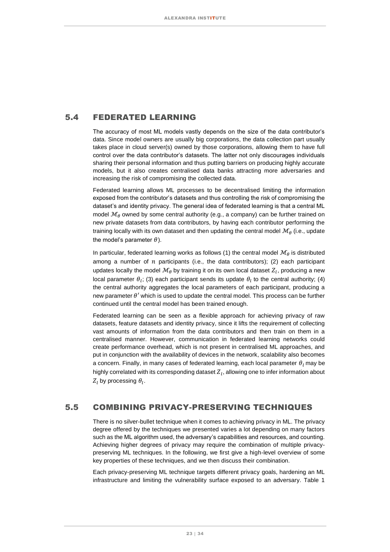### <span id="page-22-0"></span>5.4 FEDERATED LEARNING

The accuracy of most ML models vastly depends on the size of the data contributor's data. Since model owners are usually big corporations, the data collection part usually takes place in cloud server(s) owned by those corporations, allowing them to have full control over the data contributor's datasets. The latter not only discourages individuals sharing their personal information and thus putting barriers on producing highly accurate models, but it also creates centralised data banks attracting more adversaries and increasing the risk of compromising the collected data.

Federated learning allows ML processes to be decentralised limiting the information exposed from the contributor's datasets and thus controlling the risk of compromising the dataset's and identity privacy. The general idea of federated learning is that a central ML model  $\mathcal{M}_{\theta}$  owned by some central authority (e.g., a company) can be further trained on new private datasets from data contributors, by having each contributor performing the training locally with its own dataset and then updating the central model  $\mathcal{M}_{\theta}$  (i.e., update the model's parameter  $\theta$ ).

In particular, federated learning works as follows (1) the central model  $\mathcal{M}_{\theta}$  is distributed among a number of  $n$  participants (i.e., the data contributors); (2) each participant updates locally the model  $\mathcal{M}_{\theta}$  by training it on its own local dataset  $Z_l$ , producing a new local parameter  $\theta_l$ ; (3) each participant sends its update  $\theta_l$  to the central authority; (4) the central authority aggregates the local parameters of each participant, producing a new parameter  $\theta'$  which is used to update the central model. This process can be further continued until the central model has been trained enough.

Federated learning can be seen as a flexible approach for achieving privacy of raw datasets, feature datasets and identity privacy, since it lifts the requirement of collecting vast amounts of information from the data contributors and then train on them in a centralised manner. However, communication in federated learning networks could create performance overhead, which is not present in centralised ML approaches, and put in conjunction with the availability of devices in the network, scalability also becomes a concern. Finally, in many cases of federated learning, each local parameter  $\theta_1$  may be highly correlated with its corresponding dataset  $Z_{l}.$  allowing one to infer information about  $Z_{l}$  by processing  $\theta_{l}.$ 

### <span id="page-22-1"></span>5.5 COMBINING PRIVACY-PRESERVING TECHNIQUES

There is no silver-bullet technique when it comes to achieving privacy in ML. The privacy degree offered by the techniques we presented varies a lot depending on many factors such as the ML algorithm used, the adversary's capabilities and resources, and counting. Achieving higher degrees of privacy may require the combination of multiple privacypreserving ML techniques. In the following, we first give a high-level overview of some key properties of these techniques, and we then discuss their combination.

Each privacy-preserving ML technique targets different privacy goals, hardening an ML infrastructure and limiting the vulnerability surface exposed to an adversary. Table 1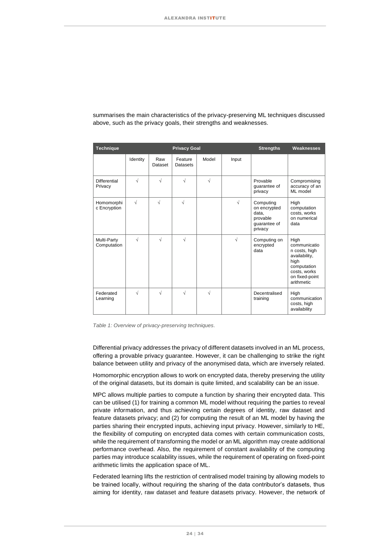| <b>Technique</b>               |            |                | <b>Privacy Goal</b>        |           | <b>Strengths</b><br>Weaknesses |                                                                           |                                                                                                                               |
|--------------------------------|------------|----------------|----------------------------|-----------|--------------------------------|---------------------------------------------------------------------------|-------------------------------------------------------------------------------------------------------------------------------|
|                                | Identity   | Raw<br>Dataset | Feature<br><b>Datasets</b> | Model     | Input                          |                                                                           |                                                                                                                               |
| <b>Differential</b><br>Privacy | $\sqrt{ }$ | $\sqrt{2}$     | $\sqrt{}$                  | $\sqrt{}$ |                                | Provable<br>quarantee of<br>privacy                                       | Compromising<br>accuracy of an<br>ML model                                                                                    |
| Homomorphi<br>c Encryption     | $\sqrt{ }$ | $\sqrt{}$      | $\sqrt{ }$                 |           | $\sqrt{}$                      | Computing<br>on encrypted<br>data,<br>provable<br>quarantee of<br>privacy | High<br>computation<br>costs, works<br>on numerical<br>data                                                                   |
| Multi-Party<br>Computation     | $\sqrt{ }$ | $\sqrt{ }$     | $\sqrt{ }$                 |           | $\sqrt{ }$                     | Computing on<br>encrypted<br>data                                         | High<br>communicatio<br>n costs, high<br>availability,<br>high<br>computation<br>costs, works<br>on fixed-point<br>arithmetic |
| Federated<br>Learning          | $\sqrt{ }$ | $\sqrt{ }$     | $\sqrt{}$                  | $\sqrt{}$ |                                | Decentralised<br>training                                                 | High<br>communication<br>costs, high<br>availability                                                                          |

summarises the main characteristics of the privacy-preserving ML techniques discussed above, such as the privacy goals, their strengths and weaknesses.

*Table 1: Overview of privacy-preserving techniques.*

Differential privacy addresses the privacy of different datasets involved in an ML process, offering a provable privacy guarantee. However, it can be challenging to strike the right balance between utility and privacy of the anonymised data, which are inversely related.

Homomorphic encryption allows to work on encrypted data, thereby preserving the utility of the original datasets, but its domain is quite limited, and scalability can be an issue.

MPC allows multiple parties to compute a function by sharing their encrypted data. This can be utilised (1) for training a common ML model without requiring the parties to reveal private information, and thus achieving certain degrees of identity, raw dataset and feature datasets privacy; and (2) for computing the result of an ML model by having the parties sharing their encrypted inputs, achieving input privacy. However, similarly to HE, the flexibility of computing on encrypted data comes with certain communication costs, while the requirement of transforming the model or an ML algorithm may create additional performance overhead. Also, the requirement of constant availability of the computing parties may introduce scalability issues, while the requirement of operating on fixed-point arithmetic limits the application space of ML.

Federated learning lifts the restriction of centralised model training by allowing models to be trained locally, without requiring the sharing of the data contributor's datasets, thus aiming for identity, raw dataset and feature datasets privacy. However, the network of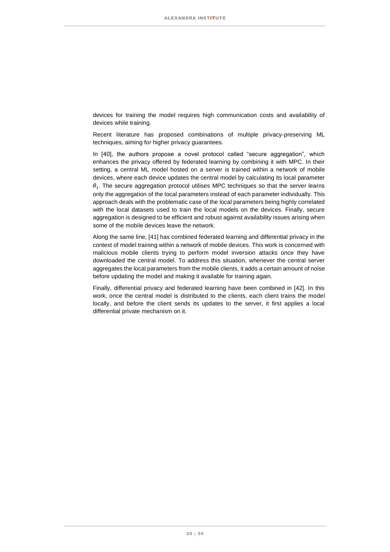devices for training the model requires high communication costs and availability of devices while training.

Recent literature has proposed combinations of multiple privacy-preserving ML techniques, aiming for higher privacy guarantees.

In [40], the authors propose a novel protocol called "secure aggregation", which enhances the privacy offered by federated learning by combining it with MPC. In their setting, a central ML model hosted on a server is trained within a network of mobile devices, where each device updates the central model by calculating its local parameter  $\theta_l$ . The secure aggregation protocol utilises MPC techniques so that the server learns only the aggregation of the local parameters instead of each parameter individually. This approach deals with the problematic case of the local parameters being highly correlated with the local datasets used to train the local models on the devices. Finally, secure aggregation is designed to be efficient and robust against availability issues arising when some of the mobile devices leave the network.

Along the same line, [41] has combined federated learning and differential privacy in the context of model training within a network of mobile devices. This work is concerned with malicious mobile clients trying to perform model inversion attacks once they have downloaded the central model. To address this situation, whenever the central server aggregates the local parameters from the mobile clients, it adds a certain amount of noise before updating the model and making it available for training again.

Finally, differential privacy and federated learning have been combined in [42]. In this work, once the central model is distributed to the clients, each client trains the model locally, and before the client sends its updates to the server, it first applies a local differential private mechanism on it.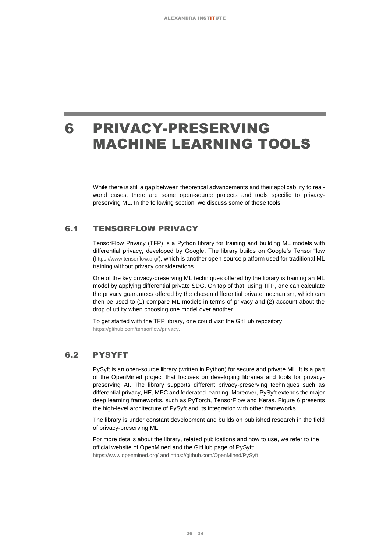### <span id="page-25-0"></span>6 PRIVACY-PRESERVING MACHINE LEARNING TOOLS

While there is still a gap between theoretical advancements and their applicability to realworld cases, there are some open-source projects and tools specific to privacypreserving ML. In the following section, we discuss some of these tools.

### <span id="page-25-1"></span>6.1 TENSORFLOW PRIVACY

TensorFlow Privacy (TFP) is a Python library for training and building ML models with differential privacy, developed by Google. The library builds on Google's TensorFlow (<https://www.tensorflow.org/>[\),](https://www.tensorflow.org/) which is another open-source platform used for traditional ML training without privacy considerations.

One of the key privacy-preserving ML techniques offered by the library is training an ML model by applying differential private SDG. On top of that, using TFP, one can calculate the privacy guarantees offered by the chosen differential private mechanism, which can then be used to (1) compare ML models in terms of privacy and (2) account about the drop of utility when choosing one model over another.

To get started with the TFP library, one could visit the GitHub repository <https://github.com/tensorflow/privacy>[.](https://github.com/tensorflow/privacy)

### <span id="page-25-2"></span>6.2 PYSYFT

PySyft is an open-source library (written in Python) for secure and private ML. It is a part of the OpenMined project that focuses on developing libraries and tools for privacypreserving AI. The library supports different privacy-preserving techniques such as differential privacy, HE, MPC and federated learning. Moreover, PySyft extends the major deep learning frameworks, such as PyTorch, TensorFlow and Keras. [Figure 6](#page-26-2) presents the high-level architecture of PySyft and its integration with other frameworks.

The library is under constant development and builds on published research in the field of privacy-preserving ML.

For more details about the library, related publications and how to use, we refer to the official website of OpenMined and the GitHub page of PySyft:

<https://www.openmined.org/> and<https://github.com/OpenMined/PySyft>[.](https://github.com/OpenMined/PySyft)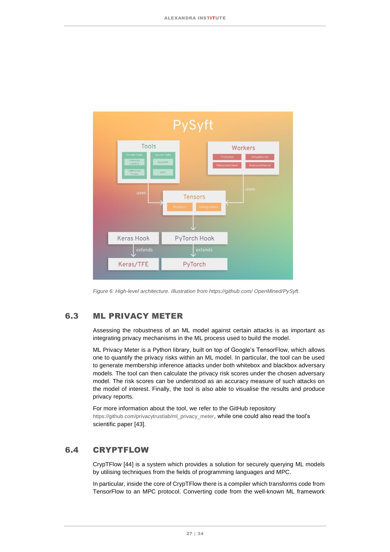

*Figure 6: High-level architecture. Illustration from [https://github.com/ OpenMined/PySyft.](https://github.com/OpenMined/PySyft)*

### <span id="page-26-2"></span><span id="page-26-0"></span>6.3 ML PRIVACY METER

Assessing the robustness of an ML model against certain attacks is as important as integrating privacy mechanisms in the ML process used to build the model.

ML Privacy Meter is a Python library, built on top of Google's TensorFlow, which allows one to quantify the privacy risks within an ML model. In particular, the tool can be used to generate membership inference attacks under both whitebox and blackbox adversary models. The tool can then calculate the privacy risk scores under the chosen adversary model. The risk scores can be understood as an accuracy measure of such attacks on the model of interest. Finally, the tool is also able to visualise the results and produce privacy reports.

For more information about the tool, we refer to the GitHub repository [https://github.com/privacytrustlab/ml\\_privacy\\_meter](https://github.com/privacytrustlab/ml_privacy_meter)[,](https://github.com/privacytrustlab/ml_privacy_meter) while one could also read the tool's scientific paper [43].

### <span id="page-26-1"></span>6.4 CRYPTFLOW

CrypTFlow [44] is a system which provides a solution for securely querying ML models by utilising techniques from the fields of programming languages and MPC.

In particular, inside the core of CrypTFlow there is a compiler which transforms code from TensorFlow to an MPC protocol. Converting code from the well-known ML framework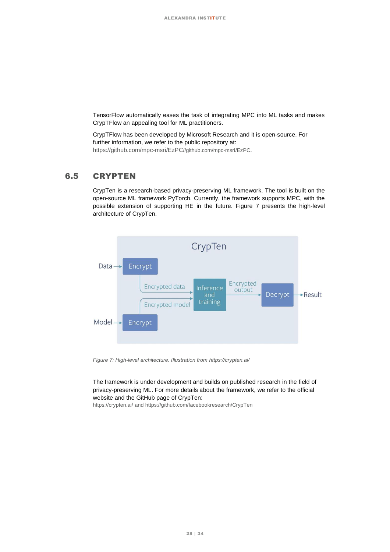TensorFlow automatically eases the task of integrating MPC into ML tasks and makes CrypTFlow an appealing tool for ML practitioners.

CrypTFlow has been developed by Microsoft Research and it is open-source. For further information, we refer to the public repository at: <https://github.com/mpc-msri/EzPC>[//github.com/mpc-msri/EzPC](https://github.com/mpc-msri/EzPC)[.](https://github.com/mpc-msri/EzPC)

### <span id="page-27-0"></span>6.5 CRYPTEN

CrypTen is a research-based privacy-preserving ML framework. The tool is built on the open-source ML framework PyTorch. Currently, the framework supports MPC, with the possible extension of supporting HE in the future. [Figure 7](#page-27-1) presents the high-level architecture of CrypTen.



<span id="page-27-1"></span>*Figure 7: High-level architecture. Illustration from<https://crypten.ai/>*

The framework is under development and builds on published research in the field of privacy-preserving ML. For more details about the framework, we refer to the official website and the GitHub page of CrypTen:

[https://crypten.ai/ a](https://crypten.ai/)n[d https://github.com/facebookresearch/CrypTen](https://github.com/facebookresearch/CrypTen)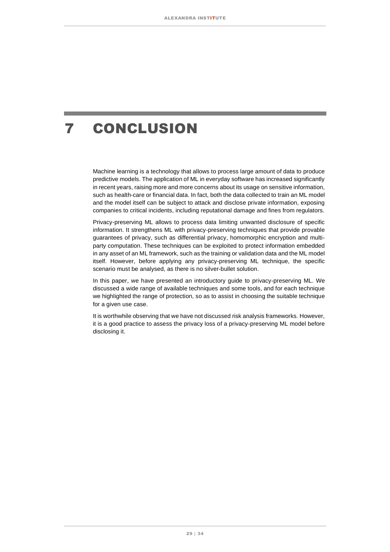# <span id="page-28-0"></span>7 CONCLUSION

Machine learning is a technology that allows to process large amount of data to produce predictive models. The application of ML in everyday software has increased significantly in recent years, raising more and more concerns about its usage on sensitive information, such as health-care or financial data. In fact, both the data collected to train an ML model and the model itself can be subject to attack and disclose private information, exposing companies to critical incidents, including reputational damage and fines from regulators.

Privacy-preserving ML allows to process data limiting unwanted disclosure of specific information. It strengthens ML with privacy-preserving techniques that provide provable guarantees of privacy, such as differential privacy, homomorphic encryption and multiparty computation. These techniques can be exploited to protect information embedded in any asset of an ML framework, such as the training or validation data and the ML model itself. However, before applying any privacy-preserving ML technique, the specific scenario must be analysed, as there is no silver-bullet solution.

In this paper, we have presented an introductory guide to privacy-preserving ML. We discussed a wide range of available techniques and some tools, and for each technique we highlighted the range of protection, so as to assist in choosing the suitable technique for a given use case.

It is worthwhile observing that we have not discussed risk analysis frameworks. However, it is a good practice to assess the privacy loss of a privacy-preserving ML model before disclosing it.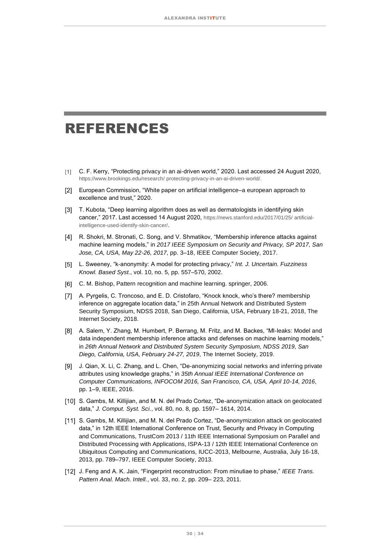### <span id="page-29-0"></span>REFERENCES

- C. F. Kerry, "Protecting privacy in an ai-driven world," 2020. Last accessed 24 August 2020, [https://www.brookings.edu/research/ protecting-privacy-in-an-ai-driven-world/.](https://www.brookings.edu/research/protecting-privacy-in-an-ai-driven-world/)
- European Commission, "White paper on artificial intelligence–a european approach to excellence and trust," 2020.
- [3] T. Kubota, "Deep learning algorithm does as well as dermatologists in identifying skin cancer," 2017. Last accessed 14 August 2020, [https://news.stanford.edu/2017/01/25/ artificial](https://news.stanford.edu/2017/01/25/artificial-intelligence-used-identify-skin-cancer/)[intelligence-used-identify-skin-cancer/](https://news.stanford.edu/2017/01/25/artificial-intelligence-used-identify-skin-cancer/)[.](https://news.stanford.edu/2017/01/25/artificial-intelligence-used-identify-skin-cancer/)
- R. Shokri, M. Stronati, C. Song, and V. Shmatikov, "Membership inference attacks against machine learning models," in *2017 IEEE Symposium on Security and Privacy, SP 2017, San Jose, CA, USA, May 22-26, 2017*, pp. 3–18, IEEE Computer Society, 2017.
- L. Sweeney, "k-anonymity: A model for protecting privacy," *Int. J. Uncertain. Fuzziness Knowl. Based Syst.*, vol. 10, no. 5, pp. 557–570, 2002.
- [6] C. M. Bishop, Pattern recognition and machine learning. springer, 2006.
- A. Pyrgelis, C. Troncoso, and E. D. Cristofaro, "Knock knock, who's there? membership inference on aggregate location data," in 25th Annual Network and Distributed System Security Symposium, NDSS 2018, San Diego, California, USA, February 18-21, 2018, The Internet Society, 2018.
- A. Salem, Y. Zhang, M. Humbert, P. Berrang, M. Fritz, and M. Backes, "Ml-leaks: Model and data independent membership inference attacks and defenses on machine learning models," in *26th Annual Network and Distributed System Security Symposium, NDSS 2019, San Diego, California, USA, February 24-27, 2019*, The Internet Society, 2019.
- J. Qian, X. Li, C. Zhang, and L. Chen, "De-anonymizing social networks and inferring private attributes using knowledge graphs," in *35th Annual IEEE International Conference on Computer Communications, INFOCOM 2016, San Francisco, CA, USA, April 10-14, 2016*, pp. 1–9, IEEE, 2016.
- [10] S. Gambs, M. Killijian, and M. N. del Prado Cortez, "De-anonymization attack on geolocated data," *J. Comput. Syst. Sci.*, vol. 80, no. 8, pp. 1597– 1614, 2014.
- [11] S. Gambs, M. Killijian, and M. N. del Prado Cortez, "De-anonymization attack on geolocated data," in 12th IEEE International Conference on Trust, Security and Privacy in Computing and Communications, TrustCom 2013 / 11th IEEE International Symposium on Parallel and Distributed Processing with Applications, ISPA-13 / 12th IEEE International Conference on Ubiquitous Computing and Communications, IUCC-2013, Melbourne, Australia, July 16-18, 2013, pp. 789–797, IEEE Computer Society, 2013.
- J. Feng and A. K. Jain, "Fingerprint reconstruction: From minutiae to phase," *IEEE Trans. Pattern Anal. Mach. Intell.*, vol. 33, no. 2, pp. 209– 223, 2011.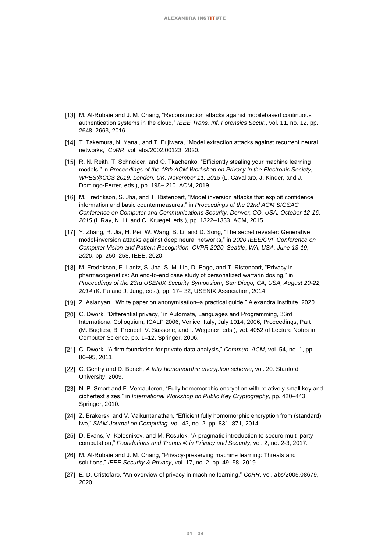- [13] M. Al-Rubaie and J. M. Chang, "Reconstruction attacks against mobilebased continuous authentication systems in the cloud," *IEEE Trans. Inf. Forensics Secur.*, vol. 11, no. 12, pp. 2648–2663, 2016.
- T. Takemura, N. Yanai, and T. Fujiwara, "Model extraction attacks against recurrent neural networks," *CoRR*, vol. abs/2002.00123, 2020.
- [15] R. N. Reith, T. Schneider, and O. Tkachenko, "Efficiently stealing your machine learning models," in *Proceedings of the 18th ACM Workshop on Privacy in the Electronic Society, WPES@CCS 2019, London, UK, November 11, 2019* (L. Cavallaro, J. Kinder, and J. Domingo-Ferrer, eds.), pp. 198– 210, ACM, 2019.
- [16] M. Fredrikson, S. Jha, and T. Ristenpart, "Model inversion attacks that exploit confidence information and basic countermeasures," in *Proceedings of the 22nd ACM SIGSAC Conference on Computer and Communications Security, Denver, CO, USA, October 12-16, 2015* (I. Ray, N. Li, and C. Kruegel, eds.), pp. 1322–1333, ACM, 2015.
- [17] Y. Zhang, R. Jia, H. Pei, W. Wang, B. Li, and D. Song, "The secret revealer: Generative model-inversion attacks against deep neural networks," in *2020 IEEE/CVF Conference on Computer Vision and Pattern Recognition, CVPR 2020, Seattle, WA, USA, June 13-19, 2020*, pp. 250–258, IEEE, 2020.
- [18] M. Fredrikson, E. Lantz, S. Jha, S. M. Lin, D. Page, and T. Ristenpart, "Privacy in pharmacogenetics: An end-to-end case study of personalized warfarin dosing," in *Proceedings of the 23rd USENIX Security Symposium, San Diego, CA, USA, August 20-22, 2014* (K. Fu and J. Jung, eds.), pp. 17– 32, USENIX Association, 2014.
- [19] Z. Aslanyan, "White paper on anonymisation–a practical guide," Alexandra Institute, 2020.
- [20] C. Dwork, "Differential privacy," in Automata, Languages and Programming, 33rd International Colloquium, ICALP 2006, Venice, Italy, July 1014, 2006, Proceedings, Part II (M. Bugliesi, B. Preneel, V. Sassone, and I. Wegener, eds.), vol. 4052 of Lecture Notes in Computer Science, pp. 1–12, Springer, 2006.
- C. Dwork, "A firm foundation for private data analysis," *Commun. ACM*, vol. 54, no. 1, pp. 86–95, 2011.
- C. Gentry and D. Boneh, *A fully homomorphic encryption scheme*, vol. 20. Stanford University, 2009.
- [23] N. P. Smart and F. Vercauteren, "Fully homomorphic encryption with relatively small key and ciphertext sizes," in *International Workshop on Public Key Cryptography*, pp. 420–443, Springer, 2010.
- [24] Z. Brakerski and V. Vaikuntanathan, "Efficient fully homomorphic encryption from (standard) lwe," *SIAM Journal on Computing*, vol. 43, no. 2, pp. 831–871, 2014.
- [25] D. Evans, V. Kolesnikov, and M. Rosulek, "A pragmatic introduction to secure multi-party computation," *Foundations and Trends* ® *in Privacy and Security*, vol. 2, no. 2-3, 2017.
- [26] M. Al-Rubaie and J. M. Chang, "Privacy-preserving machine learning: Threats and solutions," *IEEE Security & Privacy*, vol. 17, no. 2, pp. 49–58, 2019.
- E. D. Cristofaro, "An overview of privacy in machine learning," *CoRR*, vol. abs/2005.08679, 2020.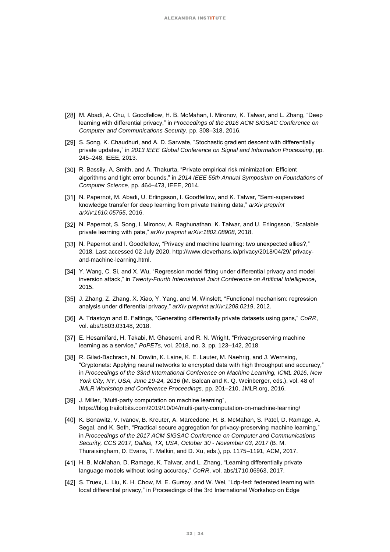- [28] M. Abadi, A. Chu, I. Goodfellow, H. B. McMahan, I. Mironov, K. Talwar, and L. Zhang, "Deep learning with differential privacy," in *Proceedings of the 2016 ACM SIGSAC Conference on Computer and Communications Security*, pp. 308–318, 2016.
- [29] S. Song, K. Chaudhuri, and A. D. Sarwate, "Stochastic gradient descent with differentially private updates," in *2013 IEEE Global Conference on Signal and Information Processing*, pp. 245–248, IEEE, 2013.
- [30] R. Bassily, A. Smith, and A. Thakurta, "Private empirical risk minimization: Efficient algorithms and tight error bounds," in *2014 IEEE 55th Annual Symposium on Foundations of Computer Science*, pp. 464–473, IEEE, 2014.
- [31] N. Papernot, M. Abadi, U. Erlingsson, I. Goodfellow, and K. Talwar, "Semi-supervised knowledge transfer for deep learning from private training data," *arXiv preprint arXiv:1610.05755*, 2016.
- [32] N. Papernot, S. Song, I. Mironov, A. Raghunathan, K. Talwar, and U. Erlingsson, "Scalable private learning with pate," *arXiv preprint arXiv:1802.08908*, 2018.
- [33] N. Papernot and I. Goodfellow, "Privacy and machine learning: two unexpected allies?," 2018. Last accessed 02 July 2020, [http://www.cleverhans.io/privacy/2018/04/29/ privacy](http://www.cleverhans.io/privacy/2018/04/29/privacy-and-machine-learning.html)[and-machine-learning.html.](http://www.cleverhans.io/privacy/2018/04/29/privacy-and-machine-learning.html)
- [34] Y. Wang, C. Si, and X. Wu, "Regression model fitting under differential privacy and model inversion attack," in *Twenty-Fourth International Joint Conference on Artificial Intelligence*, 2015.
- [35] J. Zhang, Z. Zhang, X. Xiao, Y. Yang, and M. Winslett, "Functional mechanism: regression analysis under differential privacy," *arXiv preprint arXiv:1208.0219*, 2012.
- A. Triastcyn and B. Faltings, "Generating differentially private datasets using gans," *CoRR*, vol. abs/1803.03148, 2018.
- [37] E. Hesamifard, H. Takabi, M. Ghasemi, and R. N. Wright, "Privacypreserving machine" learning as a service," *PoPETs*, vol. 2018, no. 3, pp. 123–142, 2018.
- [38] R. Gilad-Bachrach, N. Dowlin, K. Laine, K. E. Lauter, M. Naehrig, and J. Wernsing, "Cryptonets: Applying neural networks to encrypted data with high throughput and accuracy," in *Proceedings of the 33nd International Conference on Machine Learning, ICML 2016, New York City, NY, USA, June 19-24, 2016* (M. Balcan and K. Q. Weinberger, eds.), vol. 48 of *JMLR Workshop and Conference Proceedings*, pp. 201–210, JMLR.org, 2016.
- [39] J. Miller, "Multi-party computation on machine learning", https://blog.trailofbits.com/2019/10/04/multi-party-computation-on-machine-learning/
- [40] K. Bonawitz, V. Ivanov, B. Kreuter, A. Marcedone, H. B. McMahan, S. Patel, D. Ramage, A. Segal, and K. Seth, "Practical secure aggregation for privacy-preserving machine learning," in *Proceedings of the 2017 ACM SIGSAC Conference on Computer and Communications Security, CCS 2017, Dallas, TX, USA, October 30 - November 03, 2017* (B. M. Thuraisingham, D. Evans, T. Malkin, and D. Xu, eds.), pp. 1175–1191, ACM, 2017.
- [41] H. B. McMahan, D. Ramage, K. Talwar, and L. Zhang, "Learning differentially private language models without losing accuracy," *CoRR*, vol. abs/1710.06963, 2017.
- [42] S. Truex, L. Liu, K. H. Chow, M. E. Gursoy, and W. Wei, "Ldp-fed: federated learning with local differential privacy," in Proceedings of the 3rd International Workshop on Edge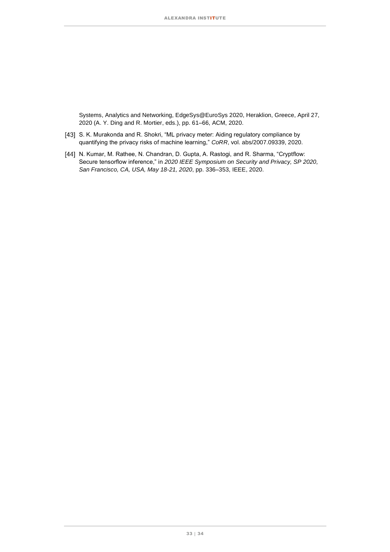Systems, Analytics and Networking, EdgeSys@EuroSys 2020, Heraklion, Greece, April 27, 2020 (A. Y. Ding and R. Mortier, eds.), pp. 61–66, ACM, 2020.

- [43] S. K. Murakonda and R. Shokri, "ML privacy meter: Aiding regulatory compliance by quantifying the privacy risks of machine learning," *CoRR*, vol. abs/2007.09339, 2020.
- [44] N. Kumar, M. Rathee, N. Chandran, D. Gupta, A. Rastogi, and R. Sharma, "Cryptflow: Secure tensorflow inference," in *2020 IEEE Symposium on Security and Privacy, SP 2020, San Francisco, CA, USA, May 18-21, 2020*, pp. 336–353, IEEE, 2020.